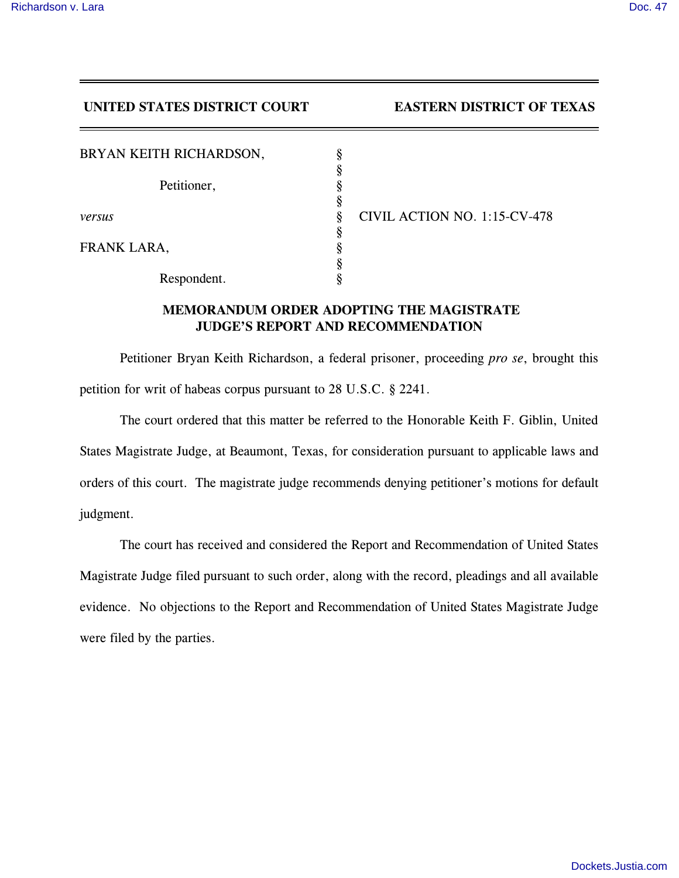## **UNITED STATES DISTRICT COURT EASTERN DISTRICT OF TEXAS**

| BRYAN KEITH RICHARDSON, | ş |
|-------------------------|---|
| Petitioner,             | ş |
|                         | ş |
|                         | ş |
| versus                  | ş |
|                         | ş |
| FRANK LARA,             | ş |
|                         | ş |
| Respondent.             |   |

*versus* § CIVIL ACTION NO. 1:15-CV-478

## **MEMORANDUM ORDER ADOPTING THE MAGISTRATE JUDGE'S REPORT AND RECOMMENDATION**

Petitioner Bryan Keith Richardson, a federal prisoner, proceeding *pro se*, brought this petition for writ of habeas corpus pursuant to 28 U.S.C. § 2241.

The court ordered that this matter be referred to the Honorable Keith F. Giblin, United States Magistrate Judge, at Beaumont, Texas, for consideration pursuant to applicable laws and orders of this court. The magistrate judge recommends denying petitioner's motions for default judgment.

The court has received and considered the Report and Recommendation of United States Magistrate Judge filed pursuant to such order, along with the record, pleadings and all available evidence. No objections to the Report and Recommendation of United States Magistrate Judge were filed by the parties.